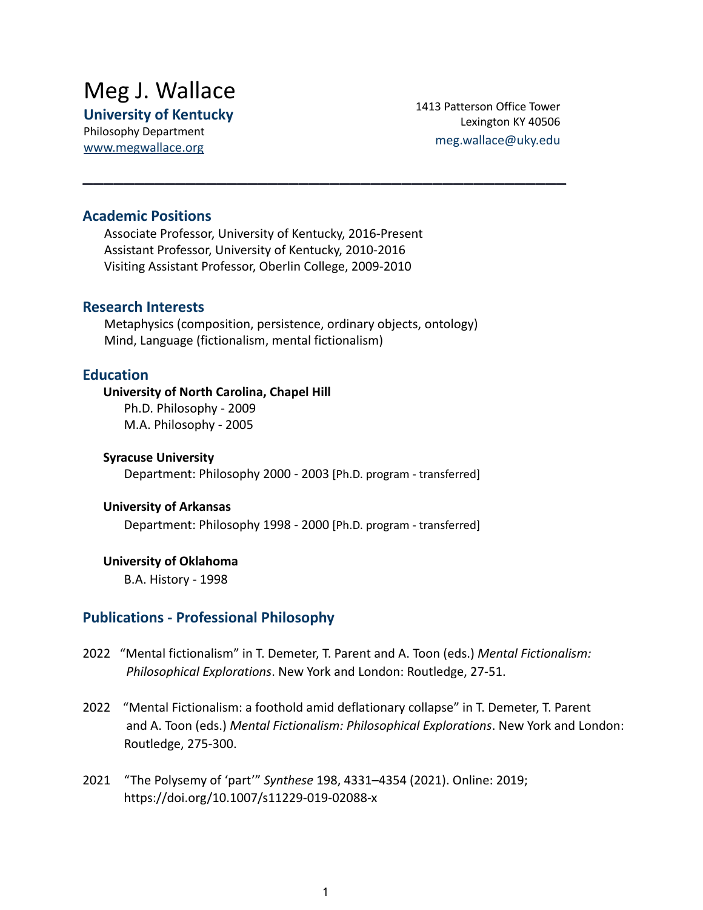# Meg J. Wallace

**University of Kentucky**

Philosophy Department [www.megwallace.org](http://www.megwallace.org) 1413 Patterson Office Tower Lexington KY 40506 meg.wallace@uky.edu

## **Academic Positions**

Associate Professor, University of Kentucky, 2016-Present Assistant Professor, University of Kentucky, 2010-2016 Visiting Assistant Professor, Oberlin College, 2009-2010

#### **Research Interests**

Metaphysics (composition, persistence, ordinary objects, ontology) Mind, Language (fictionalism, mental fictionalism)

**\_\_\_\_\_\_\_\_\_\_\_\_\_\_\_\_\_\_\_\_\_\_\_\_\_\_\_\_\_\_\_\_\_\_\_\_\_\_\_\_\_\_\_\_\_\_\_**

## **Education**

#### **University of North Carolina, Chapel Hill**

Ph.D. Philosophy - 2009 M.A. Philosophy - 2005

#### **Syracuse University**

Department: Philosophy 2000 - 2003 [Ph.D. program - transferred]

#### **University of Arkansas**

Department: Philosophy 1998 - 2000 [Ph.D. program - transferred]

#### **University of Oklahoma**

B.A. History - 1998

## **Publications - Professional Philosophy**

- 2022 "Mental fictionalism" in T. Demeter, T. Parent and A. Toon (eds.) *Mental Fictionalism: Philosophical Explorations*. New York and London: Routledge, 27-51.
- 2022 "Mental Fictionalism: a foothold amid deflationary collapse" in T. Demeter, T. Parent and A. Toon (eds.) *Mental Fictionalism: Philosophical Explorations*. New York and London: Routledge, 275-300.
- 2021 "The Polysemy of 'part'" *Synthese* 198, 4331–4354 (2021). Online: 2019; https://doi.org/10.1007/s11229-019-02088-x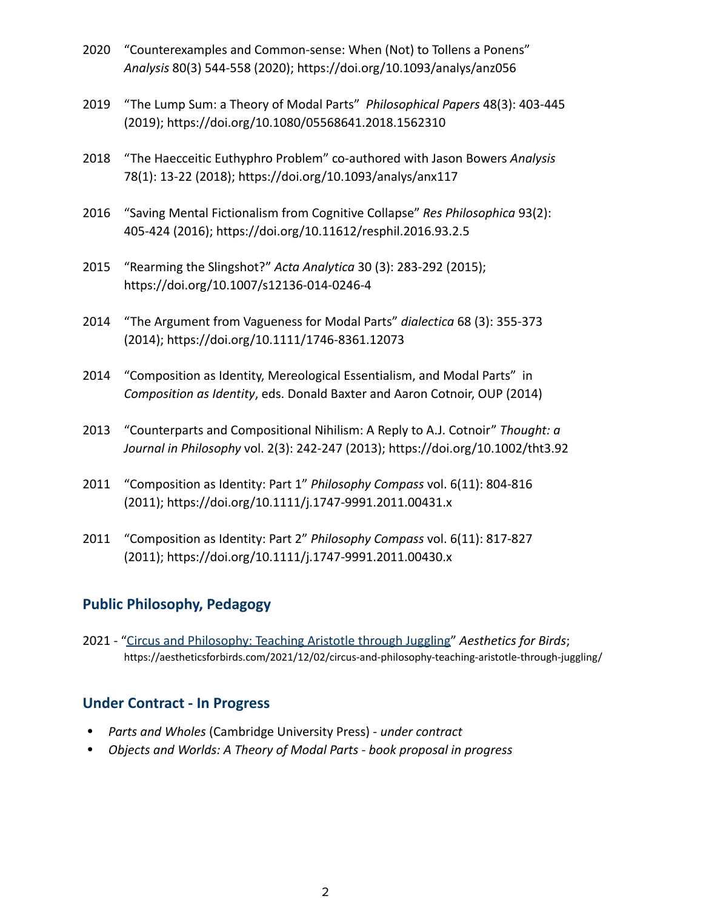- 2020 "Counterexamples and Common-sense: When (Not) to Tollens a Ponens" *Analysis* 80(3) 544-558 (2020); https://doi.org/10.1093/analys/anz056
- 2019 "The Lump Sum: a Theory of Modal Parts" *Philosophical Papers* 48(3): 403-445 (2019); https://doi.org/10.1080/05568641.2018.1562310
- 2018 "The Haecceitic Euthyphro Problem" co-authored with Jason Bowers *Analysis* 78(1): 13-22 (2018); https://doi.org/10.1093/analys/anx117
- 2016 "Saving Mental Fictionalism from Cognitive Collapse" *Res Philosophica* 93(2): 405-424 (2016); https://doi.org/10.11612/resphil.2016.93.2.5
- 2015 "Rearming the Slingshot?" *Acta Analytica* 30 (3): 283-292 (2015); https://doi.org/10.1007/s12136-014-0246-4
- 2014 "The Argument from Vagueness for Modal Parts" *dialectica* 68 (3): 355-373 (2014); https://doi.org/10.1111/1746-8361.12073
- 2014 "Composition as Identity, Mereological Essentialism, and Modal Parts" in *Composition as Identity*, eds. Donald Baxter and Aaron Cotnoir, OUP (2014)
- 2013 "Counterparts and Compositional Nihilism: A Reply to A.J. Cotnoir" *Thought: a Journal in Philosophy* vol. 2(3): 242-247 (2013); https://doi.org/10.1002/tht3.92
- 2011 "Composition as Identity: Part 1" *Philosophy Compass* vol. 6(11): 804-816 (2011); https://doi.org/10.1111/j.1747-9991.2011.00431.x
- 2011 "Composition as Identity: Part 2" *Philosophy Compass* vol. 6(11): 817-827 (2011); https://doi.org/10.1111/j.1747-9991.2011.00430.x

# **Public Philosophy, Pedagogy**

2021 - ["Circus and Philosophy: Teaching Aristotle](https://aestheticsforbirds.com/2021/12/02/circus-and-philosophy-teaching-aristotle-through-juggling/) through Juggling" *Aesthetics for Birds*; https://aestheticsforbirds.com/2021/12/02/circus-and-philosophy-teaching-aristotle-through-juggling/

## **Under Contract - In Progress**

- ⦁ *Parts and Wholes* (Cambridge University Press) *under contract*
- ⦁ *Objects and Worlds: A Theory of Modal Parts book proposal in progress*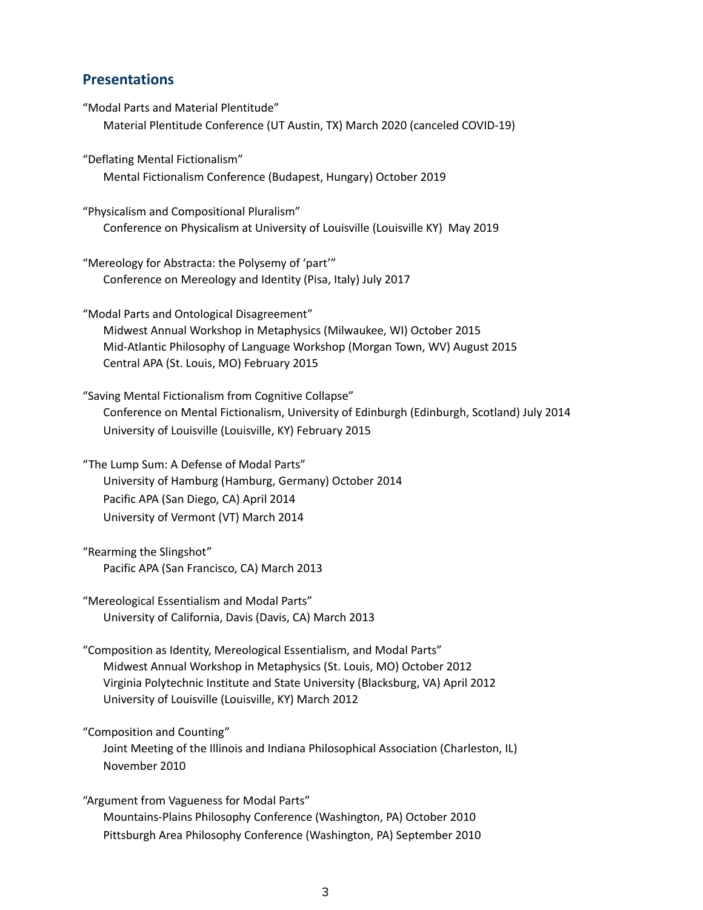#### **Presentations**

- "Modal Parts and Material Plentitude" Material Plentitude Conference (UT Austin, TX) March 2020 (canceled COVID-19)
- "Deflating Mental Fictionalism" Mental Fictionalism Conference (Budapest, Hungary) October 2019
- "Physicalism and Compositional Pluralism" Conference on Physicalism at University of Louisville (Louisville KY) May 2019
- "Mereology for Abstracta: the Polysemy of 'part'" Conference on Mereology and Identity (Pisa, Italy) July 2017
- "Modal Parts and Ontological Disagreement" Midwest Annual Workshop in Metaphysics (Milwaukee, WI) October 2015 Mid-Atlantic Philosophy of Language Workshop (Morgan Town, WV) August 2015 Central APA (St. Louis, MO) February 2015
- "Saving Mental Fictionalism from Cognitive Collapse" Conference on Mental Fictionalism, University of Edinburgh (Edinburgh, Scotland) July 2014 University of Louisville (Louisville, KY) February 2015
- "The Lump Sum: A Defense of Modal Parts" University of Hamburg (Hamburg, Germany) October 2014 Pacific APA (San Diego, CA) April 2014 University of Vermont (VT) March 2014
- "Rearming the Slingshot" Pacific APA (San Francisco, CA) March 2013
- "Mereological Essentialism and Modal Parts" University of California, Davis (Davis, CA) March 2013
- "Composition as Identity, Mereological Essentialism, and Modal Parts" Midwest Annual Workshop in Metaphysics (St. Louis, MO) October 2012 Virginia Polytechnic Institute and State University (Blacksburg, VA) April 2012 University of Louisville (Louisville, KY) March 2012
- "Composition and Counting"
	- Joint Meeting of the Illinois and Indiana Philosophical Association (Charleston, IL) November 2010
- "Argument from Vagueness for Modal Parts" Mountains-Plains Philosophy Conference (Washington, PA) October 2010 Pittsburgh Area Philosophy Conference (Washington, PA) September 2010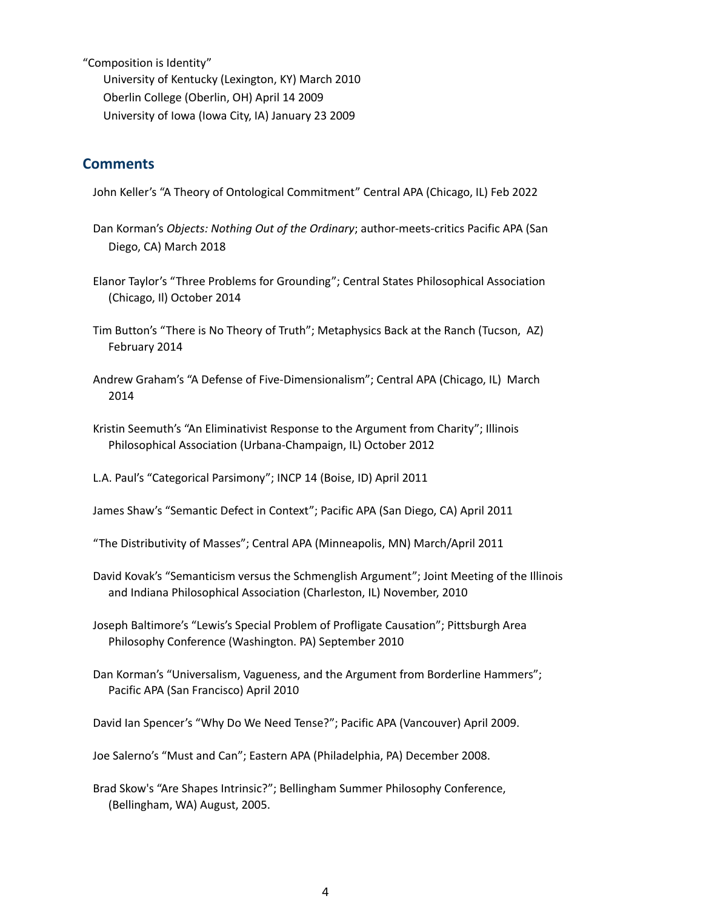"Composition is Identity" University of Kentucky (Lexington, KY) March 2010 Oberlin College (Oberlin, OH) April 14 2009 University of Iowa (Iowa City, IA) January 23 2009

#### **Comments**

John Keller's "A Theory of Ontological Commitment" Central APA (Chicago, IL) Feb 2022

- Dan Korman's *Objects: Nothing Out of the Ordinary*; author-meets-critics Pacific APA (San Diego, CA) March 2018
- Elanor Taylor's "Three Problems for Grounding"; Central States Philosophical Association (Chicago, Il) October 2014
- Tim Button's "There is No Theory of Truth"; Metaphysics Back at the Ranch (Tucson, AZ) February 2014
- Andrew Graham's "A Defense of Five-Dimensionalism"; Central APA (Chicago, IL) March 2014
- Kristin Seemuth's "An Eliminativist Response to the Argument from Charity"; Illinois Philosophical Association (Urbana-Champaign, IL) October 2012

L.A. Paul's "Categorical Parsimony"; INCP 14 (Boise, ID) April 2011

James Shaw's "Semantic Defect in Context"; Pacific APA (San Diego, CA) April 2011

"The Distributivity of Masses"; Central APA (Minneapolis, MN) March/April 2011

- David Kovak's "Semanticism versus the Schmenglish Argument"; Joint Meeting of the Illinois and Indiana Philosophical Association (Charleston, IL) November, 2010
- Joseph Baltimore's "Lewis's Special Problem of Profligate Causation"; Pittsburgh Area Philosophy Conference (Washington. PA) September 2010
- Dan Korman's "Universalism, Vagueness, and the Argument from Borderline Hammers"; Pacific APA (San Francisco) April 2010

David Ian Spencer's "Why Do We Need Tense?"; Pacific APA (Vancouver) April 2009.

Joe Salerno's "Must and Can"; Eastern APA (Philadelphia, PA) December 2008.

Brad Skow's "Are Shapes Intrinsic?"; Bellingham Summer Philosophy Conference, (Bellingham, WA) August, 2005.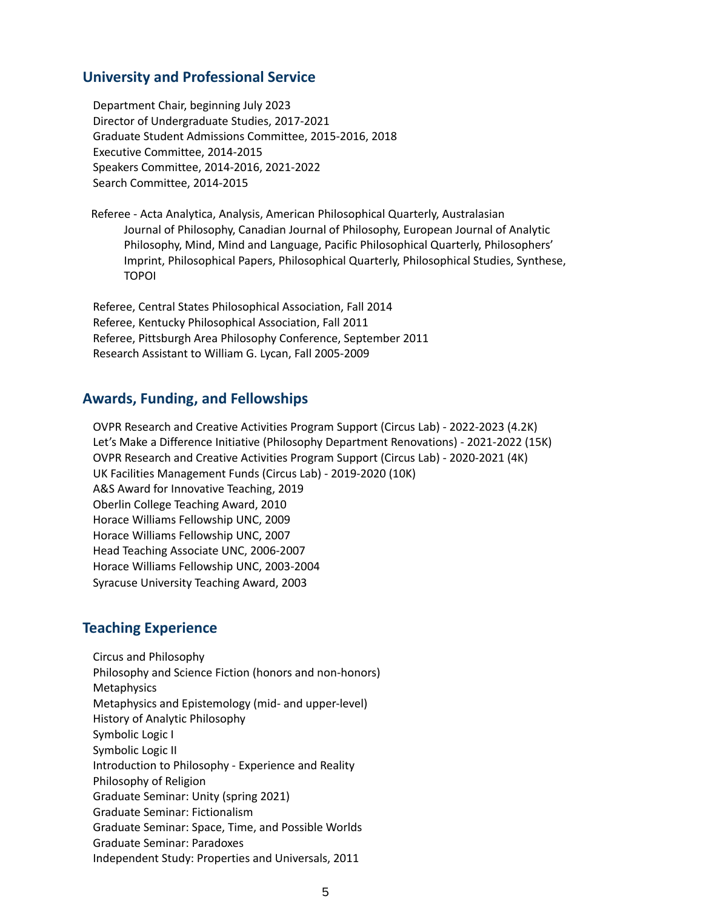#### **University and Professional Service**

Department Chair, beginning July 2023 Director of Undergraduate Studies, 2017-2021 Graduate Student Admissions Committee, 2015-2016, 2018 Executive Committee, 2014-2015 Speakers Committee, 2014-2016, 2021-2022 Search Committee, 2014-2015

Referee - Acta Analytica, Analysis, American Philosophical Quarterly, Australasian Journal of Philosophy, Canadian Journal of Philosophy, European Journal of Analytic Philosophy, Mind, Mind and Language, Pacific Philosophical Quarterly, Philosophers' Imprint, Philosophical Papers, Philosophical Quarterly, Philosophical Studies, Synthese, TOPOI

Referee, Central States Philosophical Association, Fall 2014 Referee, Kentucky Philosophical Association, Fall 2011 Referee, Pittsburgh Area Philosophy Conference, September 2011 Research Assistant to William G. Lycan, Fall 2005-2009

#### **Awards, Funding, and Fellowships**

OVPR Research and Creative Activities Program Support (Circus Lab) - 2022-2023 (4.2K) Let's Make a Difference Initiative (Philosophy Department Renovations) - 2021-2022 (15K) OVPR Research and Creative Activities Program Support (Circus Lab) - 2020-2021 (4K) UK Facilities Management Funds (Circus Lab) - 2019-2020 (10K) A&S Award for Innovative Teaching, 2019 Oberlin College Teaching Award, 2010 Horace Williams Fellowship UNC, 2009 Horace Williams Fellowship UNC, 2007 Head Teaching Associate UNC, 2006-2007 Horace Williams Fellowship UNC, 2003-2004 Syracuse University Teaching Award, 2003

#### **Teaching Experience**

Circus and Philosophy Philosophy and Science Fiction (honors and non-honors) **Metaphysics** Metaphysics and Epistemology (mid- and upper-level) History of Analytic Philosophy Symbolic Logic I Symbolic Logic II Introduction to Philosophy - Experience and Reality Philosophy of Religion Graduate Seminar: Unity (spring 2021) Graduate Seminar: Fictionalism Graduate Seminar: Space, Time, and Possible Worlds Graduate Seminar: Paradoxes Independent Study: Properties and Universals, 2011